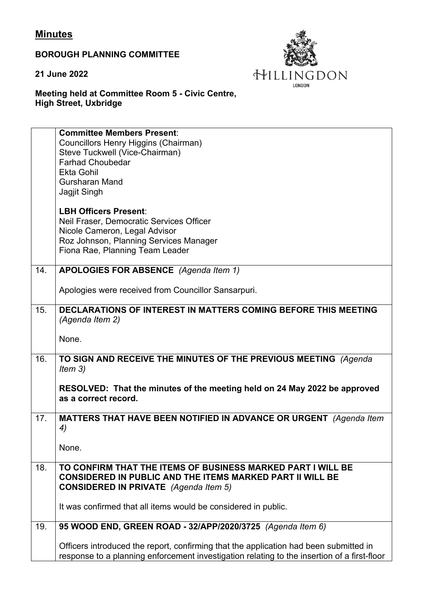## **Minutes**

**BOROUGH PLANNING COMMITTEE**

**21 June 2022**



## **Meeting held at Committee Room 5 - Civic Centre, High Street, Uxbridge**

|     | <b>Committee Members Present:</b><br>Councillors Henry Higgins (Chairman)                         |
|-----|---------------------------------------------------------------------------------------------------|
|     | Steve Tuckwell (Vice-Chairman)                                                                    |
|     | <b>Farhad Choubedar</b>                                                                           |
|     | <b>Ekta Gohil</b>                                                                                 |
|     | <b>Gursharan Mand</b>                                                                             |
|     | Jagjit Singh                                                                                      |
|     | <b>LBH Officers Present:</b>                                                                      |
|     | Neil Fraser, Democratic Services Officer                                                          |
|     | Nicole Cameron, Legal Advisor                                                                     |
|     | Roz Johnson, Planning Services Manager                                                            |
|     | Fiona Rae, Planning Team Leader                                                                   |
| 14. | APOLOGIES FOR ABSENCE (Agenda Item 1)                                                             |
|     | Apologies were received from Councillor Sansarpuri.                                               |
| 15. | DECLARATIONS OF INTEREST IN MATTERS COMING BEFORE THIS MEETING<br>(Agenda Item 2)                 |
|     | None.                                                                                             |
| 16. | TO SIGN AND RECEIVE THE MINUTES OF THE PREVIOUS MEETING (Agenda                                   |
|     | Item $3)$                                                                                         |
|     | RESOLVED: That the minutes of the meeting held on 24 May 2022 be approved<br>as a correct record. |
| 17. | MATTERS THAT HAVE BEEN NOTIFIED IN ADVANCE OR URGENT (Agenda Item                                 |
|     | 4)                                                                                                |
|     |                                                                                                   |
|     | None.                                                                                             |
| 18. | TO CONFIRM THAT THE ITEMS OF BUSINESS MARKED PART I WILL BE                                       |
|     | <b>CONSIDERED IN PUBLIC AND THE ITEMS MARKED PART II WILL BE</b>                                  |
|     | <b>CONSIDERED IN PRIVATE</b> (Agenda Item 5)                                                      |
|     | It was confirmed that all items would be considered in public.                                    |
| 19. | 95 WOOD END, GREEN ROAD - 32/APP/2020/3725 (Agenda Item 6)                                        |
|     | Officers introduced the report, confirming that the application had been submitted in             |
|     | response to a planning enforcement investigation relating to the insertion of a first-floor       |